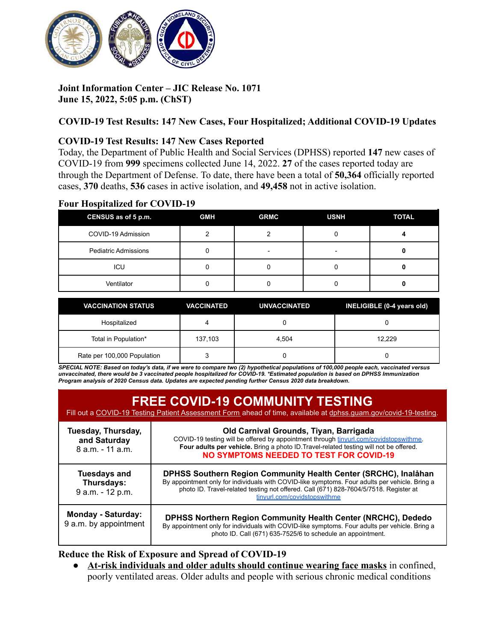

# **Joint Information Center – JIC Release No. 1071 June 15, 2022, 5:05 p.m. (ChST)**

# **COVID-19 Test Results: 147 New Cases, Four Hospitalized; Additional COVID-19 Updates**

### **COVID-19 Test Results: 147 New Cases Reported**

Today, the Department of Public Health and Social Services (DPHSS) reported **147** new cases of COVID-19 from **999** specimens collected June 14, 2022. **27** of the cases reported today are through the Department of Defense. To date, there have been a total of **50,364** officially reported cases, **370** deaths, **536** cases in active isolation, and **49,458** not in active isolation.

#### **Four Hospitalized for COVID-19**

| CENSUS as of 5 p.m.         | <b>GMH</b> | <b>GRMC</b> | <b>USNH</b> | <b>TOTAL</b> |
|-----------------------------|------------|-------------|-------------|--------------|
| COVID-19 Admission          |            |             |             |              |
| <b>Pediatric Admissions</b> |            |             |             |              |
| ICU                         |            |             |             |              |
| Ventilator                  |            |             |             |              |

| <b>VACCINATION STATUS</b>   | <b>VACCINATED</b> | <b>UNVACCINATED</b> | INELIGIBLE (0-4 years old) |
|-----------------------------|-------------------|---------------------|----------------------------|
| Hospitalized                |                   |                     |                            |
| Total in Population*        | 137.103           | 4.504               | 12.229                     |
| Rate per 100,000 Population |                   |                     |                            |

SPECIAL NOTE: Based on today's data, if we were to compare two (2) hypothetical populations of 100,000 people each, vaccinated versus unvaccinated, there would be 3 vaccinated people hospitalized for COVID-19. \*Estimated population is based on DPHSS Immunization *Program analysis of 2020 Census data. Updates are expected pending further Census 2020 data breakdown.*

| <b>FREE COVID-19 COMMUNITY TESTING</b><br>Fill out a COVID-19 Testing Patient Assessment Form ahead of time, available at dphss.quam.gov/covid-19-testing. |                                                                                                                                                                                                                                                                                            |  |
|------------------------------------------------------------------------------------------------------------------------------------------------------------|--------------------------------------------------------------------------------------------------------------------------------------------------------------------------------------------------------------------------------------------------------------------------------------------|--|
| Tuesday, Thursday,<br>and Saturday<br>8 a.m. - 11 a.m.                                                                                                     | Old Carnival Grounds, Tiyan, Barrigada<br>COVID-19 testing will be offered by appointment through tinyurl.com/covidstopswithme.<br>Four adults per vehicle. Bring a photo ID Travel-related testing will not be offered.<br><b>NO SYMPTOMS NEEDED TO TEST FOR COVID-19</b>                 |  |
| <b>Tuesdays and</b><br>Thursdays:<br>9 a.m. - 12 p.m.                                                                                                      | DPHSS Southern Region Community Health Center (SRCHC), Inalåhan<br>By appointment only for individuals with COVID-like symptoms. Four adults per vehicle. Bring a<br>photo ID. Travel-related testing not offered. Call (671) 828-7604/5/7518. Register at<br>tinyurl.com/covidstopswithme |  |
| <b>Monday - Saturday:</b><br>9 a.m. by appointment                                                                                                         | <b>DPHSS Northern Region Community Health Center (NRCHC), Dededo</b><br>By appointment only for individuals with COVID-like symptoms. Four adults per vehicle. Bring a<br>photo ID. Call (671) 635-7525/6 to schedule an appointment.                                                      |  |

### **Reduce the Risk of Exposure and Spread of COVID-19**

● **At-risk individuals and older adults should continue wearing face masks** in confined, poorly ventilated areas. Older adults and people with serious chronic medical conditions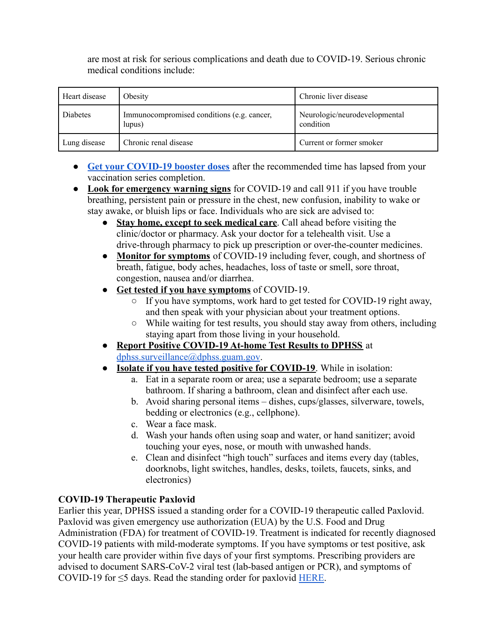are most at risk for serious complications and death due to COVID-19. Serious chronic medical conditions include:

| Heart disease | Obesity                                              | Chronic liver disease                      |
|---------------|------------------------------------------------------|--------------------------------------------|
| Diabetes      | Immunocompromised conditions (e.g. cancer,<br>lupus) | Neurologic/neurodevelopmental<br>condition |
| Lung disease  | Chronic renal disease                                | Current or former smoker                   |

- **[Get your COVID-19 booster doses](http://cdc.gov/coronavirus/2019-ncov/vaccines/booster-shot.html)** after the recommended time has lapsed from your vaccination series completion.
- **Look for emergency warning signs** for COVID-19 and call 911 if you have trouble breathing, persistent pain or pressure in the chest, new confusion, inability to wake or stay awake, or bluish lips or face. Individuals who are sick are advised to:
	- **Stay home, except to seek medical care**. Call ahead before visiting the clinic/doctor or pharmacy. Ask your doctor for a telehealth visit. Use a drive-through pharmacy to pick up prescription or over-the-counter medicines.
	- **Monitor for symptoms** of COVID-19 including fever, cough, and shortness of breath, fatigue, body aches, headaches, loss of taste or smell, sore throat, congestion, nausea and/or diarrhea.
	- **Get tested if you have symptoms** of COVID-19.
		- If you have symptoms, work hard to get tested for COVID-19 right away, and then speak with your physician about your treatment options.
		- While waiting for test results, you should stay away from others, including staying apart from those living in your household.
	- **Report Positive COVID-19 At-home Test Results to DPHSS** at [dphss.surveillance@dphss.guam.gov](mailto:dphss.surveillance@dphss.guam.gov).
	- **Isolate if you have tested positive for COVID-19**. While in isolation:
		- a. Eat in a separate room or area; use a separate bedroom; use a separate bathroom. If sharing a bathroom, clean and disinfect after each use.
		- b. Avoid sharing personal items dishes, cups/glasses, silverware, towels, bedding or electronics (e.g., cellphone).
		- c. Wear a face mask.
		- d. Wash your hands often using soap and water, or hand sanitizer; avoid touching your eyes, nose, or mouth with unwashed hands.
		- e. Clean and disinfect "high touch" surfaces and items every day (tables, doorknobs, light switches, handles, desks, toilets, faucets, sinks, and electronics)

# **COVID-19 Therapeutic Paxlovid**

Earlier this year, DPHSS issued a standing order for a COVID-19 therapeutic called Paxlovid. Paxlovid was given emergency use authorization (EUA) by the U.S. Food and Drug Administration (FDA) for treatment of COVID-19. Treatment is indicated for recently diagnosed COVID-19 patients with mild-moderate symptoms. If you have symptoms or test positive, ask your health care provider within five days of your first symptoms. Prescribing providers are advised to document SARS-CoV-2 viral test (lab-based antigen or PCR), and symptoms of COVID-19 for  $\leq$ 5 days. Read the standing order for paxlovid [HERE](https://dphss.guam.gov/wp-content/uploads/2022/02/Standing-Order-of-Paxlovid-signed-dated-48pg-1.pdf).